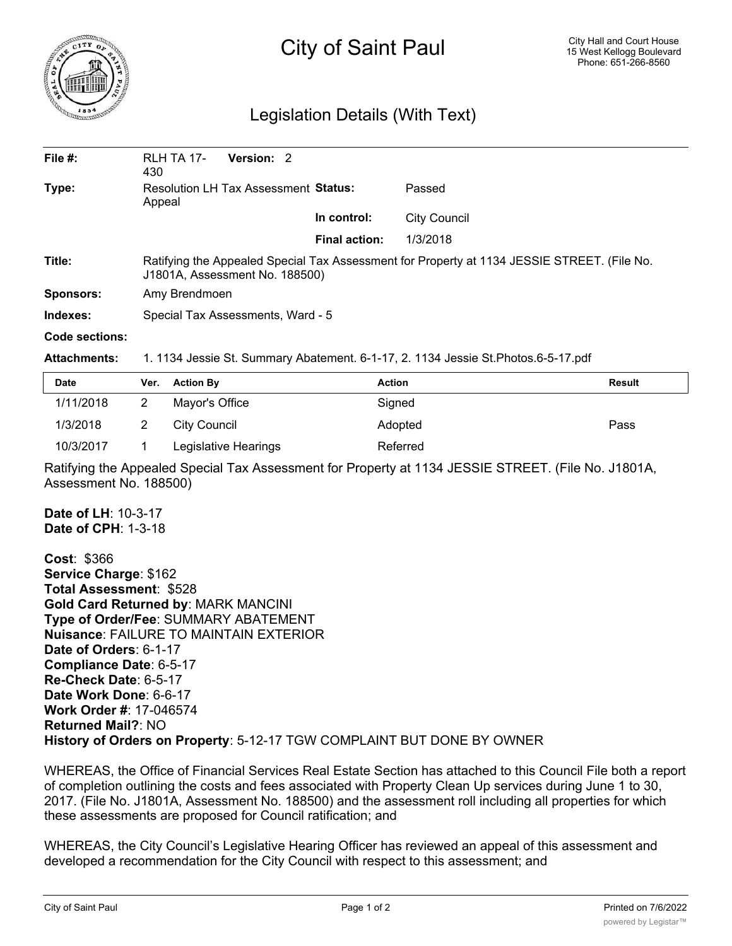

## City of Saint Paul

## Legislation Details (With Text)

| File $#$ :       | <b>RLH TA 17-</b><br>430                                                                                                      | Version: 2 |                      |              |  |  |
|------------------|-------------------------------------------------------------------------------------------------------------------------------|------------|----------------------|--------------|--|--|
| Type:            | Resolution LH Tax Assessment Status:<br>Appeal                                                                                |            |                      | Passed       |  |  |
|                  |                                                                                                                               |            | In control:          | City Council |  |  |
|                  |                                                                                                                               |            | <b>Final action:</b> | 1/3/2018     |  |  |
| Title:           | Ratifying the Appealed Special Tax Assessment for Property at 1134 JESSIE STREET. (File No.<br>J1801A, Assessment No. 188500) |            |                      |              |  |  |
| <b>Sponsors:</b> | Amy Brendmoen                                                                                                                 |            |                      |              |  |  |
| Indexes:         | Special Tax Assessments, Ward - 5                                                                                             |            |                      |              |  |  |
| Code sections:   |                                                                                                                               |            |                      |              |  |  |

## **Attachments:** 1. 1134 Jessie St. Summary Abatement. 6-1-17, 2. 1134 Jessie St.Photos.6-5-17.pdf

| Date      | Ver. Action By       | <b>Action</b> | Result |
|-----------|----------------------|---------------|--------|
| 1/11/2018 | Mayor's Office       | Signed        |        |
| 1/3/2018  | City Council         | Adopted       | Pass   |
| 10/3/2017 | Legislative Hearings | Referred      |        |

Ratifying the Appealed Special Tax Assessment for Property at 1134 JESSIE STREET. (File No. J1801A, Assessment No. 188500)

**Date of LH**: 10-3-17 **Date of CPH**: 1-3-18

**Cost**: \$366 **Service Charge**: \$162 **Total Assessment**: \$528 **Gold Card Returned by**: MARK MANCINI **Type of Order/Fee**: SUMMARY ABATEMENT **Nuisance**: FAILURE TO MAINTAIN EXTERIOR **Date of Orders**: 6-1-17 **Compliance Date**: 6-5-17 **Re-Check Date**: 6-5-17 **Date Work Done**: 6-6-17 **Work Order #**: 17-046574 **Returned Mail?**: NO **History of Orders on Property**: 5-12-17 TGW COMPLAINT BUT DONE BY OWNER

WHEREAS, the Office of Financial Services Real Estate Section has attached to this Council File both a report of completion outlining the costs and fees associated with Property Clean Up services during June 1 to 30, 2017. (File No. J1801A, Assessment No. 188500) and the assessment roll including all properties for which these assessments are proposed for Council ratification; and

WHEREAS, the City Council's Legislative Hearing Officer has reviewed an appeal of this assessment and developed a recommendation for the City Council with respect to this assessment; and